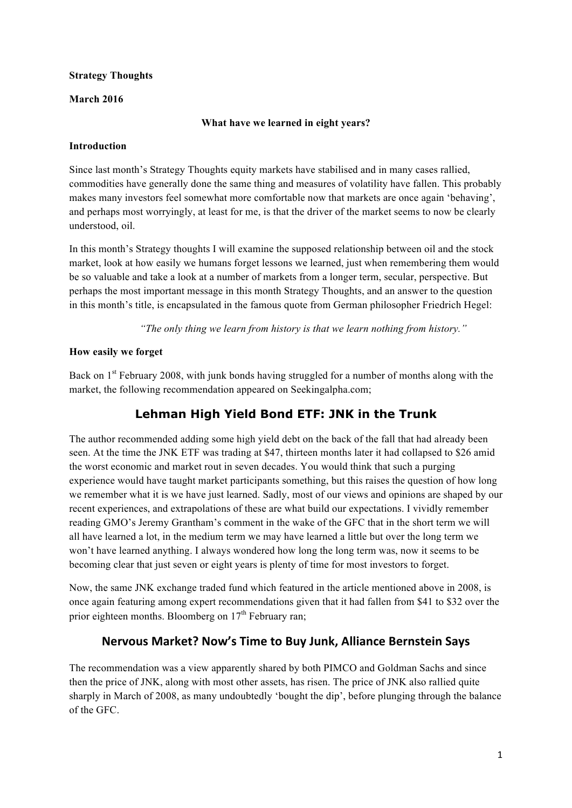## **Strategy Thoughts**

### **March 2016**

### **What have we learned in eight years?**

#### **Introduction**

Since last month's Strategy Thoughts equity markets have stabilised and in many cases rallied, commodities have generally done the same thing and measures of volatility have fallen. This probably makes many investors feel somewhat more comfortable now that markets are once again 'behaving', and perhaps most worryingly, at least for me, is that the driver of the market seems to now be clearly understood, oil.

In this month's Strategy thoughts I will examine the supposed relationship between oil and the stock market, look at how easily we humans forget lessons we learned, just when remembering them would be so valuable and take a look at a number of markets from a longer term, secular, perspective. But perhaps the most important message in this month Strategy Thoughts, and an answer to the question in this month's title, is encapsulated in the famous quote from German philosopher Friedrich Hegel:

*"The only thing we learn from history is that we learn nothing from history."*

## **How easily we forget**

Back on 1<sup>st</sup> February 2008, with junk bonds having struggled for a number of months along with the market, the following recommendation appeared on Seekingalpha.com;

## **Lehman High Yield Bond ETF: JNK in the Trunk**

The author recommended adding some high yield debt on the back of the fall that had already been seen. At the time the JNK ETF was trading at \$47, thirteen months later it had collapsed to \$26 amid the worst economic and market rout in seven decades. You would think that such a purging experience would have taught market participants something, but this raises the question of how long we remember what it is we have just learned. Sadly, most of our views and opinions are shaped by our recent experiences, and extrapolations of these are what build our expectations. I vividly remember reading GMO's Jeremy Grantham's comment in the wake of the GFC that in the short term we will all have learned a lot, in the medium term we may have learned a little but over the long term we won't have learned anything. I always wondered how long the long term was, now it seems to be becoming clear that just seven or eight years is plenty of time for most investors to forget.

Now, the same JNK exchange traded fund which featured in the article mentioned above in 2008, is once again featuring among expert recommendations given that it had fallen from \$41 to \$32 over the prior eighteen months. Bloomberg on  $17<sup>th</sup>$  February ran;

## **Nervous Market? Now's Time to Buy Junk, Alliance Bernstein Says**

The recommendation was a view apparently shared by both PIMCO and Goldman Sachs and since then the price of JNK, along with most other assets, has risen. The price of JNK also rallied quite sharply in March of 2008, as many undoubtedly 'bought the dip', before plunging through the balance of the GFC.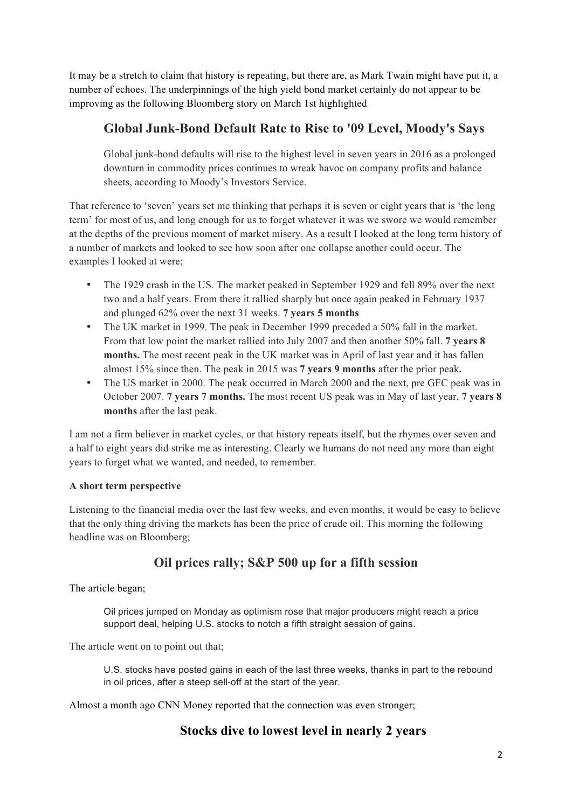It may be a stretch to claim that history is repeating, but there are, as Mark Twain might have put it, a number of echoes. The underpinnings of the high yield bond market certainly do not appear to be improving as the following Bloomberg story on March 1st highlighted

# **Global Junk-Bond Default Rate to Rise to '09 Level, Moody's Says**

Global junk-bond defaults will rise to the highest level in seven years in 2016 as a prolonged downturn in commodity prices continues to wreak havoc on company profits and balance sheets, according to Moody's Investors Service.

That reference to 'seven' years set me thinking that perhaps it is seven or eight years that is 'the long term' for most of us, and long enough for us to forget whatever it was we swore we would remember at the depths of the previous moment of market misery. As a result I looked at the long term history of a number of markets and looked to see how soon after one collapse another could occur. The examples I looked at were;

- The 1929 crash in the US. The market peaked in September 1929 and fell 89% over the next two and a half years. From there it rallied sharply but once again peaked in February 1937 and plunged 62% over the next 31 weeks. **7 years 5 months**
- The UK market in 1999. The peak in December 1999 preceded a 50% fall in the market. From that low point the market rallied into July 2007 and then another 50% fall. **7 years 8 months.** The most recent peak in the UK market was in April of last year and it has fallen almost 15% since then. The peak in 2015 was **7 years 9 months** after the prior peak**.**
- The US market in 2000. The peak occurred in March 2000 and the next, pre GFC peak was in October 2007. **7 years 7 months.** The most recent US peak was in May of last year, **7 years 8 months** after the last peak.

I am not a firm believer in market cycles, or that history repeats itself, but the rhymes over seven and a half to eight years did strike me as interesting. Clearly we humans do not need any more than eight years to forget what we wanted, and needed, to remember.

## **A short term perspective**

Listening to the financial media over the last few weeks, and even months, it would be easy to believe that the only thing driving the markets has been the price of crude oil. This morning the following headline was on Bloomberg;

## **Oil prices rally; S&P 500 up for a fifth session**

The article began;

Oil prices jumped on Monday as optimism rose that major producers might reach a price support deal, helping U.S. stocks to notch a fifth straight session of gains.

The article went on to point out that;

U.S. stocks have posted gains in each of the last three weeks, thanks in part to the rebound in oil prices, after a steep sell-off at the start of the year.

Almost a month ago CNN Money reported that the connection was even stronger;

## **Stocks dive to lowest level in nearly 2 years**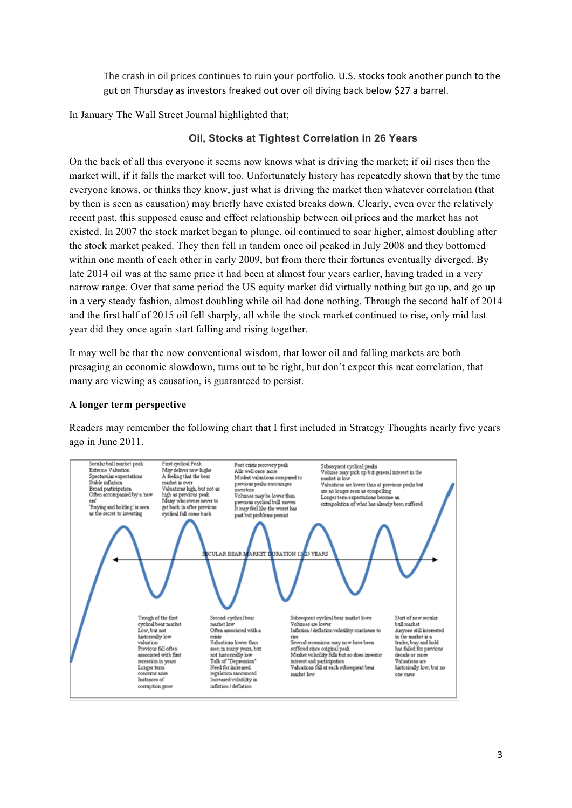The crash in oil prices continues to ruin your portfolio. U.S. stocks took another punch to the gut on Thursday as investors freaked out over oil diving back below \$27 a barrel.

In January The Wall Street Journal highlighted that;

## **Oil, Stocks at Tightest Correlation in 26 Years**

On the back of all this everyone it seems now knows what is driving the market; if oil rises then the market will, if it falls the market will too. Unfortunately history has repeatedly shown that by the time everyone knows, or thinks they know, just what is driving the market then whatever correlation (that by then is seen as causation) may briefly have existed breaks down. Clearly, even over the relatively recent past, this supposed cause and effect relationship between oil prices and the market has not existed. In 2007 the stock market began to plunge, oil continued to soar higher, almost doubling after the stock market peaked. They then fell in tandem once oil peaked in July 2008 and they bottomed within one month of each other in early 2009, but from there their fortunes eventually diverged. By late 2014 oil was at the same price it had been at almost four years earlier, having traded in a very narrow range. Over that same period the US equity market did virtually nothing but go up, and go up in a very steady fashion, almost doubling while oil had done nothing. Through the second half of 2014 and the first half of 2015 oil fell sharply, all while the stock market continued to rise, only mid last year did they once again start falling and rising together.

It may well be that the now conventional wisdom, that lower oil and falling markets are both presaging an economic slowdown, turns out to be right, but don't expect this neat correlation, that many are viewing as causation, is guaranteed to persist.

#### **A longer term perspective**

Readers may remember the following chart that I first included in Strategy Thoughts nearly five years ago in June 2011.

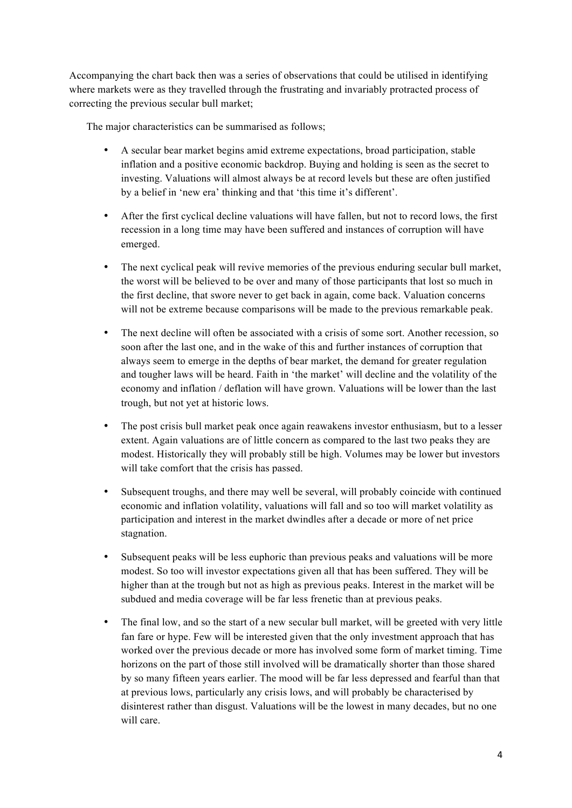Accompanying the chart back then was a series of observations that could be utilised in identifying where markets were as they travelled through the frustrating and invariably protracted process of correcting the previous secular bull market;

The major characteristics can be summarised as follows;

- A secular bear market begins amid extreme expectations, broad participation, stable inflation and a positive economic backdrop. Buying and holding is seen as the secret to investing. Valuations will almost always be at record levels but these are often justified by a belief in 'new era' thinking and that 'this time it's different'.
- After the first cyclical decline valuations will have fallen, but not to record lows, the first recession in a long time may have been suffered and instances of corruption will have emerged.
- The next cyclical peak will revive memories of the previous enduring secular bull market, the worst will be believed to be over and many of those participants that lost so much in the first decline, that swore never to get back in again, come back. Valuation concerns will not be extreme because comparisons will be made to the previous remarkable peak.
- The next decline will often be associated with a crisis of some sort. Another recession, so soon after the last one, and in the wake of this and further instances of corruption that always seem to emerge in the depths of bear market, the demand for greater regulation and tougher laws will be heard. Faith in 'the market' will decline and the volatility of the economy and inflation / deflation will have grown. Valuations will be lower than the last trough, but not yet at historic lows.
- The post crisis bull market peak once again reawakens investor enthusiasm, but to a lesser extent. Again valuations are of little concern as compared to the last two peaks they are modest. Historically they will probably still be high. Volumes may be lower but investors will take comfort that the crisis has passed.
- Subsequent troughs, and there may well be several, will probably coincide with continued economic and inflation volatility, valuations will fall and so too will market volatility as participation and interest in the market dwindles after a decade or more of net price stagnation.
- Subsequent peaks will be less euphoric than previous peaks and valuations will be more modest. So too will investor expectations given all that has been suffered. They will be higher than at the trough but not as high as previous peaks. Interest in the market will be subdued and media coverage will be far less frenetic than at previous peaks.
- The final low, and so the start of a new secular bull market, will be greeted with very little fan fare or hype. Few will be interested given that the only investment approach that has worked over the previous decade or more has involved some form of market timing. Time horizons on the part of those still involved will be dramatically shorter than those shared by so many fifteen years earlier. The mood will be far less depressed and fearful than that at previous lows, particularly any crisis lows, and will probably be characterised by disinterest rather than disgust. Valuations will be the lowest in many decades, but no one will care.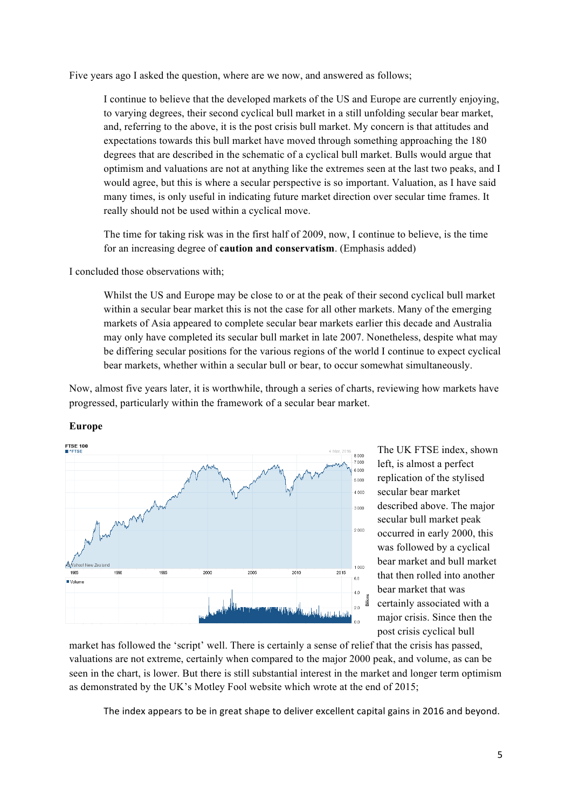Five years ago I asked the question, where are we now, and answered as follows;

I continue to believe that the developed markets of the US and Europe are currently enjoying, to varying degrees, their second cyclical bull market in a still unfolding secular bear market, and, referring to the above, it is the post crisis bull market. My concern is that attitudes and expectations towards this bull market have moved through something approaching the 180 degrees that are described in the schematic of a cyclical bull market. Bulls would argue that optimism and valuations are not at anything like the extremes seen at the last two peaks, and I would agree, but this is where a secular perspective is so important. Valuation, as I have said many times, is only useful in indicating future market direction over secular time frames. It really should not be used within a cyclical move.

The time for taking risk was in the first half of 2009, now, I continue to believe, is the time for an increasing degree of **caution and conservatism**. (Emphasis added)

I concluded those observations with;

Whilst the US and Europe may be close to or at the peak of their second cyclical bull market within a secular bear market this is not the case for all other markets. Many of the emerging markets of Asia appeared to complete secular bear markets earlier this decade and Australia may only have completed its secular bull market in late 2007. Nonetheless, despite what may be differing secular positions for the various regions of the world I continue to expect cyclical bear markets, whether within a secular bull or bear, to occur somewhat simultaneously.

Now, almost five years later, it is worthwhile, through a series of charts, reviewing how markets have progressed, particularly within the framework of a secular bear market.



The UK FTSE index, shown left, is almost a perfect replication of the stylised secular bear market described above. The major secular bull market peak occurred in early 2000, this was followed by a cyclical bear market and bull market that then rolled into another bear market that was certainly associated with a major crisis. Since then the post crisis cyclical bull

market has followed the 'script' well. There is certainly a sense of relief that the crisis has passed, valuations are not extreme, certainly when compared to the major 2000 peak, and volume, as can be seen in the chart, is lower. But there is still substantial interest in the market and longer term optimism as demonstrated by the UK's Motley Fool website which wrote at the end of 2015;

The index appears to be in great shape to deliver excellent capital gains in 2016 and beyond.

## **Europe**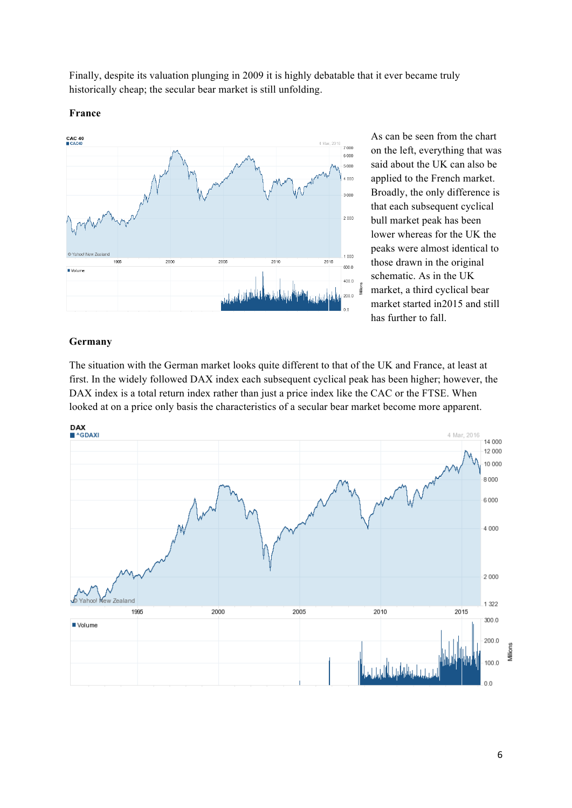Finally, despite its valuation plunging in 2009 it is highly debatable that it ever became truly historically cheap; the secular bear market is still unfolding.

#### **France**



As can be seen from the chart on the left, everything that was said about the UK can also be applied to the French market. Broadly, the only difference is that each subsequent cyclical bull market peak has been lower whereas for the UK the peaks were almost identical to those drawn in the original schematic. As in the UK market, a third cyclical bear market started in2015 and still has further to fall.

### **Germany**

The situation with the German market looks quite different to that of the UK and France, at least at first. In the widely followed DAX index each subsequent cyclical peak has been higher; however, the DAX index is a total return index rather than just a price index like the CAC or the FTSE. When looked at on a price only basis the characteristics of a secular bear market become more apparent.

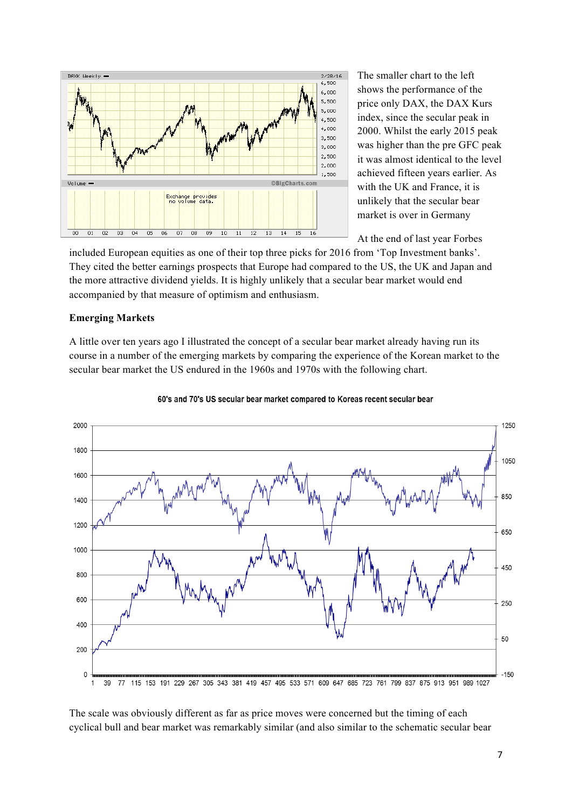

The smaller chart to the left shows the performance of the price only DAX, the DAX Kurs index, since the secular peak in 2000. Whilst the early 2015 peak was higher than the pre GFC peak it was almost identical to the level achieved fifteen years earlier. As with the UK and France, it is unlikely that the secular bear market is over in Germany

At the end of last year Forbes

included European equities as one of their top three picks for 2016 from 'Top Investment banks'. They cited the better earnings prospects that Europe had compared to the US, the UK and Japan and the more attractive dividend yields. It is highly unlikely that a secular bear market would end accompanied by that measure of optimism and enthusiasm.

### **Emerging Markets**

A little over ten years ago I illustrated the concept of a secular bear market already having run its course in a number of the emerging markets by comparing the experience of the Korean market to the secular bear market the US endured in the 1960s and 1970s with the following chart.





The scale was obviously different as far as price moves were concerned but the timing of each cyclical bull and bear market was remarkably similar (and also similar to the schematic secular bear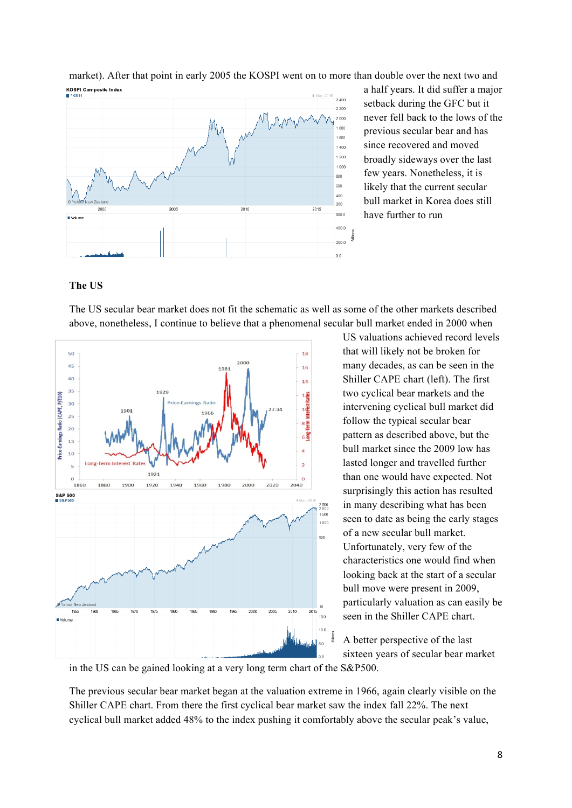

market). After that point in early 2005 the KOSPI went on to more than double over the next two and

a half years. It did suffer a major setback during the GFC but it never fell back to the lows of the previous secular bear and has since recovered and moved broadly sideways over the last few years. Nonetheless, it is likely that the current secular bull market in Korea does still have further to run

### **The US**

The US secular bear market does not fit the schematic as well as some of the other markets described above, nonetheless, I continue to believe that a phenomenal secular bull market ended in 2000 when



US valuations achieved record levels that will likely not be broken for many decades, as can be seen in the Shiller CAPE chart (left). The first two cyclical bear markets and the intervening cyclical bull market did follow the typical secular bear pattern as described above, but the bull market since the 2009 low has lasted longer and travelled further than one would have expected. Not surprisingly this action has resulted in many describing what has been seen to date as being the early stages of a new secular bull market. Unfortunately, very few of the characteristics one would find when looking back at the start of a secular bull move were present in 2009, particularly valuation as can easily be seen in the Shiller CAPE chart.

A better perspective of the last sixteen years of secular bear market

in the US can be gained looking at a very long term chart of the S&P500.

The previous secular bear market began at the valuation extreme in 1966, again clearly visible on the Shiller CAPE chart. From there the first cyclical bear market saw the index fall 22%. The next cyclical bull market added 48% to the index pushing it comfortably above the secular peak's value,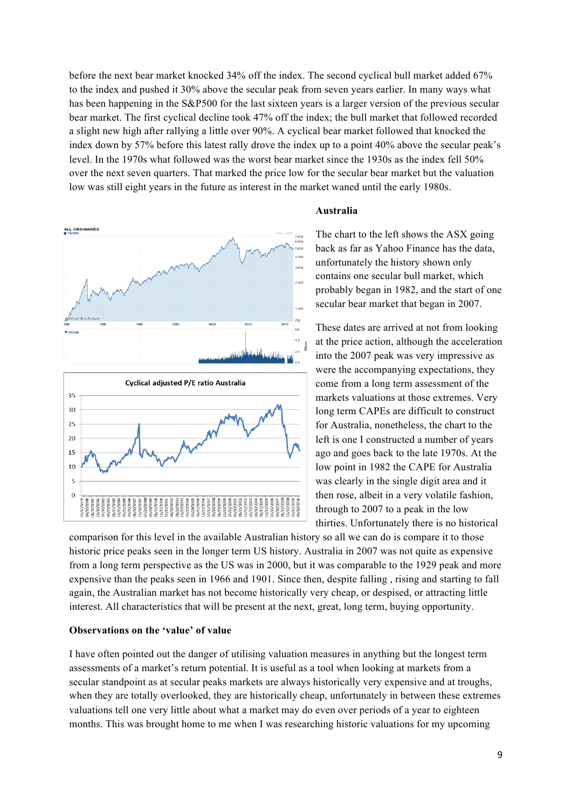before the next bear market knocked 34% off the index. The second cyclical bull market added 67% to the index and pushed it 30% above the secular peak from seven years earlier. In many ways what has been happening in the S&P500 for the last sixteen years is a larger version of the previous secular bear market. The first cyclical decline took 47% off the index; the bull market that followed recorded a slight new high after rallying a little over 90%. A cyclical bear market followed that knocked the index down by 57% before this latest rally drove the index up to a point 40% above the secular peak's level. In the 1970s what followed was the worst bear market since the 1930s as the index fell 50% over the next seven quarters. That marked the price low for the secular bear market but the valuation low was still eight years in the future as interest in the market waned until the early 1980s.



#### **Australia**

The chart to the left shows the ASX going back as far as Yahoo Finance has the data, unfortunately the history shown only contains one secular bull market, which probably began in 1982, and the start of one secular bear market that began in 2007.

These dates are arrived at not from looking at the price action, although the acceleration into the 2007 peak was very impressive as were the accompanying expectations, they come from a long term assessment of the markets valuations at those extremes. Very long term CAPEs are difficult to construct for Australia, nonetheless, the chart to the left is one I constructed a number of years ago and goes back to the late 1970s. At the low point in 1982 the CAPE for Australia was clearly in the single digit area and it then rose, albeit in a very volatile fashion, through to 2007 to a peak in the low thirties. Unfortunately there is no historical

comparison for this level in the available Australian history so all we can do is compare it to those historic price peaks seen in the longer term US history. Australia in 2007 was not quite as expensive from a long term perspective as the US was in 2000, but it was comparable to the 1929 peak and more expensive than the peaks seen in 1966 and 1901. Since then, despite falling , rising and starting to fall again, the Australian market has not become historically very cheap, or despised, or attracting little interest. All characteristics that will be present at the next, great, long term, buying opportunity.

#### **Observations on the 'value' of value**

I have often pointed out the danger of utilising valuation measures in anything but the longest term assessments of a market's return potential. It is useful as a tool when looking at markets from a secular standpoint as at secular peaks markets are always historically very expensive and at troughs, when they are totally overlooked, they are historically cheap, unfortunately in between these extremes valuations tell one very little about what a market may do even over periods of a year to eighteen months. This was brought home to me when I was researching historic valuations for my upcoming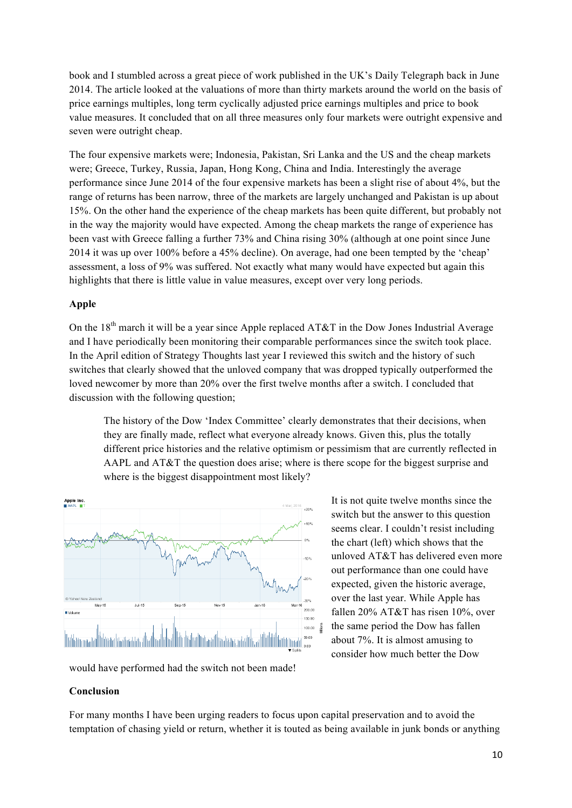book and I stumbled across a great piece of work published in the UK's Daily Telegraph back in June 2014. The article looked at the valuations of more than thirty markets around the world on the basis of price earnings multiples, long term cyclically adjusted price earnings multiples and price to book value measures. It concluded that on all three measures only four markets were outright expensive and seven were outright cheap.

The four expensive markets were; Indonesia, Pakistan, Sri Lanka and the US and the cheap markets were; Greece, Turkey, Russia, Japan, Hong Kong, China and India. Interestingly the average performance since June 2014 of the four expensive markets has been a slight rise of about 4%, but the range of returns has been narrow, three of the markets are largely unchanged and Pakistan is up about 15%. On the other hand the experience of the cheap markets has been quite different, but probably not in the way the majority would have expected. Among the cheap markets the range of experience has been vast with Greece falling a further 73% and China rising 30% (although at one point since June 2014 it was up over 100% before a 45% decline). On average, had one been tempted by the 'cheap' assessment, a loss of 9% was suffered. Not exactly what many would have expected but again this highlights that there is little value in value measures, except over very long periods.

#### **Apple**

On the 18<sup>th</sup> march it will be a year since Apple replaced AT&T in the Dow Jones Industrial Average and I have periodically been monitoring their comparable performances since the switch took place. In the April edition of Strategy Thoughts last year I reviewed this switch and the history of such switches that clearly showed that the unloved company that was dropped typically outperformed the loved newcomer by more than 20% over the first twelve months after a switch. I concluded that discussion with the following question;

The history of the Dow 'Index Committee' clearly demonstrates that their decisions, when they are finally made, reflect what everyone already knows. Given this, plus the totally different price histories and the relative optimism or pessimism that are currently reflected in AAPL and AT&T the question does arise; where is there scope for the biggest surprise and where is the biggest disappointment most likely?



It is not quite twelve months since the switch but the answer to this question seems clear. I couldn't resist including the chart (left) which shows that the unloved AT&T has delivered even more out performance than one could have expected, given the historic average, over the last year. While Apple has fallen 20% AT&T has risen 10%, over the same period the Dow has fallen about 7%. It is almost amusing to consider how much better the Dow

would have performed had the switch not been made!

#### **Conclusion**

For many months I have been urging readers to focus upon capital preservation and to avoid the temptation of chasing yield or return, whether it is touted as being available in junk bonds or anything